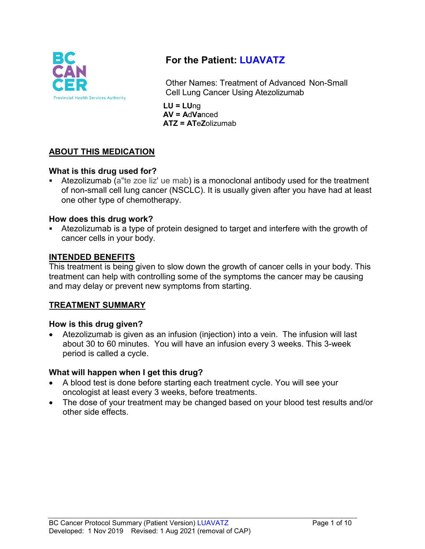

# **For the Patient: LUAVATZ**

Other Names: Treatment of Advanced Non-Small Cell Lung Cancer Using Atezolizumab

**LU = LU**ng **AV = A**d**Va**nced **ATZ = AT**e**Z**olizumab

# **ABOUT THIS MEDICATION**

## **What is this drug used for?**

 Atezolizumab (a"te zoe liz' ue mab) is a monoclonal antibody used for the treatment of non-small cell lung cancer (NSCLC). It is usually given after you have had at least one other type of chemotherapy.

#### **How does this drug work?**

 Atezolizumab is a type of protein designed to target and interfere with the growth of cancer cells in your body.

#### **INTENDED BENEFITS**

This treatment is being given to slow down the growth of cancer cells in your body. This treatment can help with controlling some of the symptoms the cancer may be causing and may delay or prevent new symptoms from starting.

## **TREATMENT SUMMARY**

#### **How is this drug given?**

• Atezolizumab is given as an infusion (injection) into a vein. The infusion will last about 30 to 60 minutes. You will have an infusion every 3 weeks. This 3-week period is called a cycle.

## **What will happen when I get this drug?**

- A blood test is done before starting each treatment cycle. You will see your oncologist at least every 3 weeks, before treatments.
- The dose of your treatment may be changed based on your blood test results and/or other side effects.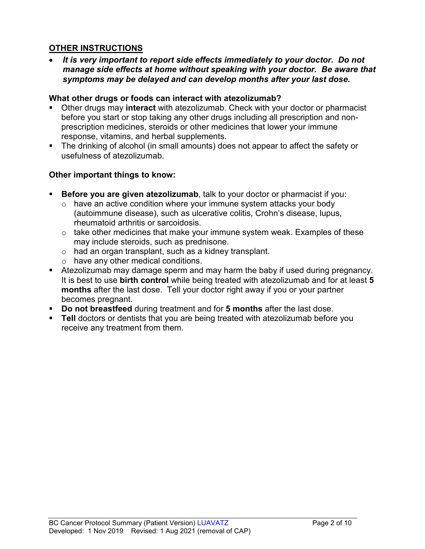## **OTHER INSTRUCTIONS**

• *It is very important to report side effects immediately to your doctor. Do not manage side effects at home without speaking with your doctor. Be aware that symptoms may be delayed and can develop months after your last dose.*

#### **What other drugs or foods can interact with atezolizumab?**

- Other drugs may **interact** with atezolizumab. Check with your doctor or pharmacist before you start or stop taking any other drugs including all prescription and nonprescription medicines, steroids or other medicines that lower your immune response, vitamins, and herbal supplements.
- The drinking of alcohol (in small amounts) does not appear to affect the safety or usefulness of atezolizumab.

## **Other important things to know:**

- **Before you are given atezolizumab**, talk to your doctor or pharmacist if you:
	- $\circ$  have an active condition where your immune system attacks your body (autoimmune disease), such as ulcerative colitis, Crohn's disease, lupus, rheumatoid arthritis or sarcoidosis.
	- o take other medicines that make your immune system weak. Examples of these may include steroids, such as prednisone.
	- o had an organ transplant, such as a kidney transplant.
	- o have any other medical conditions.
- Atezolizumab may damage sperm and may harm the baby if used during pregnancy. It is best to use **birth control** while being treated with atezolizumab and for at least **5 months** after the last dose. Tell your doctor right away if you or your partner becomes pregnant.
- **Do not breastfeed** during treatment and for **5 months** after the last dose.
- **Tell** doctors or dentists that you are being treated with atezolizumab before you receive any treatment from them.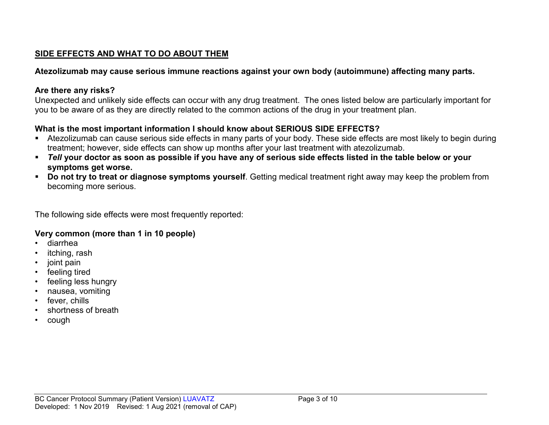# **SIDE EFFECTS AND WHAT TO DO ABOUT THEM**

## **Atezolizumab may cause serious immune reactions against your own body (autoimmune) affecting many parts.**

## **Are there any risks?**

Unexpected and unlikely side effects can occur with any drug treatment. The ones listed below are particularly important for you to be aware of as they are directly related to the common actions of the drug in your treatment plan.

# **What is the most important information I should know about SERIOUS SIDE EFFECTS?**

- Atezolizumab can cause serious side effects in many parts of your body. These side effects are most likely to begin during treatment; however, side effects can show up months after your last treatment with atezolizumab.
- *Tell* **your doctor as soon as possible if you have any of serious side effects listed in the table below or your symptoms get worse.**
- **Do not try to treat or diagnose symptoms yourself**. Getting medical treatment right away may keep the problem from becoming more serious.

The following side effects were most frequently reported:

## **Very common (more than 1 in 10 people)**

- diarrhea
- itching, rash
- joint pain
- feeling tired
- feeling less hungry
- nausea, vomiting
- fever, chills
- shortness of breath
- cough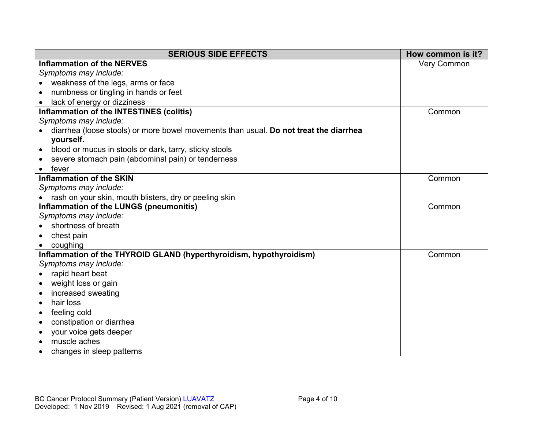| <b>SERIOUS SIDE EFFECTS</b>                                                           | How common is it?  |
|---------------------------------------------------------------------------------------|--------------------|
| <b>Inflammation of the NERVES</b>                                                     | <b>Very Common</b> |
| Symptoms may include:                                                                 |                    |
| weakness of the legs, arms or face                                                    |                    |
| numbness or tingling in hands or feet                                                 |                    |
| lack of energy or dizziness                                                           |                    |
| Inflammation of the INTESTINES (colitis)                                              | Common             |
| Symptoms may include:                                                                 |                    |
| diarrhea (loose stools) or more bowel movements than usual. Do not treat the diarrhea |                    |
| yourself.                                                                             |                    |
| blood or mucus in stools or dark, tarry, sticky stools<br>$\bullet$                   |                    |
| severe stomach pain (abdominal pain) or tenderness                                    |                    |
| fever                                                                                 |                    |
| <b>Inflammation of the SKIN</b>                                                       | Common             |
| Symptoms may include:                                                                 |                    |
| rash on your skin, mouth blisters, dry or peeling skin                                |                    |
| Inflammation of the LUNGS (pneumonitis)                                               | Common             |
| Symptoms may include:                                                                 |                    |
| shortness of breath                                                                   |                    |
| chest pain                                                                            |                    |
| coughing                                                                              |                    |
| Inflammation of the THYROID GLAND (hyperthyroidism, hypothyroidism)                   | Common             |
| Symptoms may include:                                                                 |                    |
| rapid heart beat<br>$\bullet$                                                         |                    |
| weight loss or gain<br>$\bullet$                                                      |                    |
| increased sweating<br>$\bullet$                                                       |                    |
| hair loss<br>$\bullet$                                                                |                    |
| feeling cold<br>٠                                                                     |                    |
| constipation or diarrhea<br>$\bullet$                                                 |                    |
| your voice gets deeper<br>$\bullet$                                                   |                    |
| muscle aches<br>$\bullet$                                                             |                    |
| changes in sleep patterns                                                             |                    |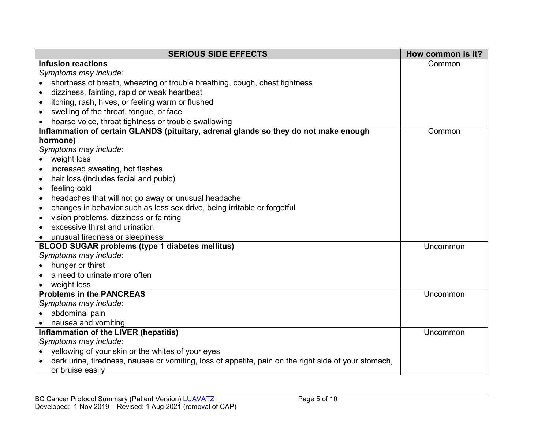| <b>SERIOUS SIDE EFFECTS</b>                                                                          | How common is it? |
|------------------------------------------------------------------------------------------------------|-------------------|
| <b>Infusion reactions</b>                                                                            | Common            |
| Symptoms may include:                                                                                |                   |
| shortness of breath, wheezing or trouble breathing, cough, chest tightness                           |                   |
| dizziness, fainting, rapid or weak heartbeat                                                         |                   |
| itching, rash, hives, or feeling warm or flushed<br>$\bullet$                                        |                   |
| swelling of the throat, tongue, or face<br>$\bullet$                                                 |                   |
| hoarse voice, throat tightness or trouble swallowing                                                 |                   |
| Inflammation of certain GLANDS (pituitary, adrenal glands so they do not make enough                 | Common            |
| hormone)                                                                                             |                   |
| Symptoms may include:                                                                                |                   |
| weight loss                                                                                          |                   |
| increased sweating, hot flashes<br>$\bullet$                                                         |                   |
| hair loss (includes facial and pubic)<br>$\bullet$                                                   |                   |
| feeling cold<br>$\bullet$                                                                            |                   |
| headaches that will not go away or unusual headache<br>$\bullet$                                     |                   |
| changes in behavior such as less sex drive, being irritable or forgetful<br>$\bullet$                |                   |
| vision problems, dizziness or fainting<br>$\bullet$                                                  |                   |
| excessive thirst and urination                                                                       |                   |
| unusual tiredness or sleepiness                                                                      |                   |
| <b>BLOOD SUGAR problems (type 1 diabetes mellitus)</b>                                               | Uncommon          |
| Symptoms may include:                                                                                |                   |
| hunger or thirst                                                                                     |                   |
| a need to urinate more often                                                                         |                   |
| weight loss                                                                                          |                   |
| <b>Problems in the PANCREAS</b>                                                                      | Uncommon          |
| Symptoms may include:                                                                                |                   |
| abdominal pain                                                                                       |                   |
| nausea and vomiting                                                                                  |                   |
| Inflammation of the LIVER (hepatitis)                                                                | Uncommon          |
| Symptoms may include:                                                                                |                   |
| yellowing of your skin or the whites of your eyes                                                    |                   |
| dark urine, tiredness, nausea or vomiting, loss of appetite, pain on the right side of your stomach, |                   |
| or bruise easily                                                                                     |                   |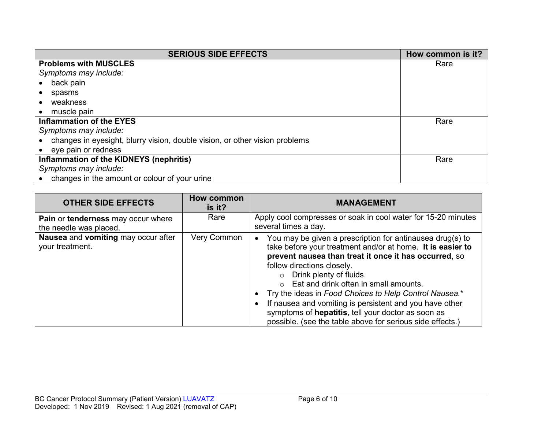| <b>SERIOUS SIDE EFFECTS</b>                                                 | How common is it? |
|-----------------------------------------------------------------------------|-------------------|
| <b>Problems with MUSCLES</b>                                                | Rare              |
| Symptoms may include:                                                       |                   |
| back pain                                                                   |                   |
| spasms                                                                      |                   |
| weakness                                                                    |                   |
| muscle pain                                                                 |                   |
| <b>Inflammation of the EYES</b>                                             | Rare              |
| Symptoms may include:                                                       |                   |
| changes in eyesight, blurry vision, double vision, or other vision problems |                   |
| • eye pain or redness                                                       |                   |
| Inflammation of the KIDNEYS (nephritis)                                     | Rare              |
| Symptoms may include:                                                       |                   |
| changes in the amount or colour of your urine                               |                   |

| <b>OTHER SIDE EFFECTS</b>                                    | How common<br>is it? | <b>MANAGEMENT</b>                                                                                                                                                                                                                                                                                                                                                                                                                                                                                                                            |
|--------------------------------------------------------------|----------------------|----------------------------------------------------------------------------------------------------------------------------------------------------------------------------------------------------------------------------------------------------------------------------------------------------------------------------------------------------------------------------------------------------------------------------------------------------------------------------------------------------------------------------------------------|
| Pain or tenderness may occur where<br>the needle was placed. | Rare                 | Apply cool compresses or soak in cool water for 15-20 minutes<br>several times a day.                                                                                                                                                                                                                                                                                                                                                                                                                                                        |
| Nausea and vomiting may occur after<br>your treatment.       | Very Common          | You may be given a prescription for antinausea drug(s) to<br>take before your treatment and/or at home. It is easier to<br>prevent nausea than treat it once it has occurred, so<br>follow directions closely.<br>$\circ$ Drink plenty of fluids.<br>Eat and drink often in small amounts.<br>$\cap$<br>Try the ideas in Food Choices to Help Control Nausea.*<br>If nausea and vomiting is persistent and you have other<br>symptoms of hepatitis, tell your doctor as soon as<br>possible. (see the table above for serious side effects.) |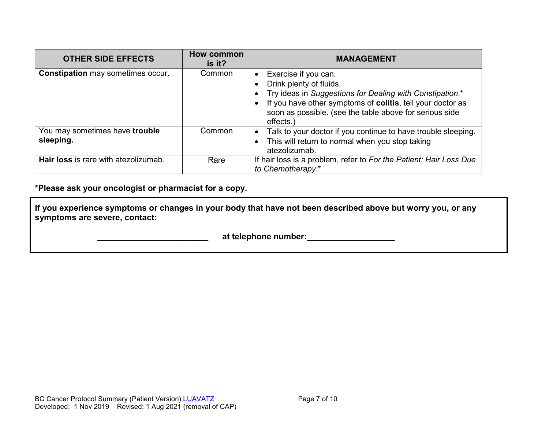| <b>OTHER SIDE EFFECTS</b>                   | <b>How common</b><br>is it? | <b>MANAGEMENT</b>                                                                                                                                                                                                                                 |
|---------------------------------------------|-----------------------------|---------------------------------------------------------------------------------------------------------------------------------------------------------------------------------------------------------------------------------------------------|
| <b>Constipation may sometimes occur.</b>    | Common                      | Exercise if you can.<br>Drink plenty of fluids.<br>Try ideas in Suggestions for Dealing with Constipation.*<br>If you have other symptoms of colitis, tell your doctor as<br>soon as possible. (see the table above for serious side<br>effects.) |
| You may sometimes have trouble<br>sleeping. | Common                      | Talk to your doctor if you continue to have trouble sleeping.<br>This will return to normal when you stop taking<br>atezolizumab.                                                                                                                 |
| Hair loss is rare with atezolizumab.        | Rare                        | If hair loss is a problem, refer to For the Patient: Hair Loss Due<br>to Chemotherapy.*                                                                                                                                                           |

**\*Please ask your oncologist or pharmacist for a copy.**

**If you experience symptoms or changes in your body that have not been described above but worry you, or any symptoms are severe, contact:**

 **\_\_\_\_\_\_\_\_\_\_\_\_\_\_\_\_\_\_\_\_\_\_\_\_ at telephone number:\_\_\_\_\_\_\_\_\_\_\_\_\_\_\_\_\_\_\_**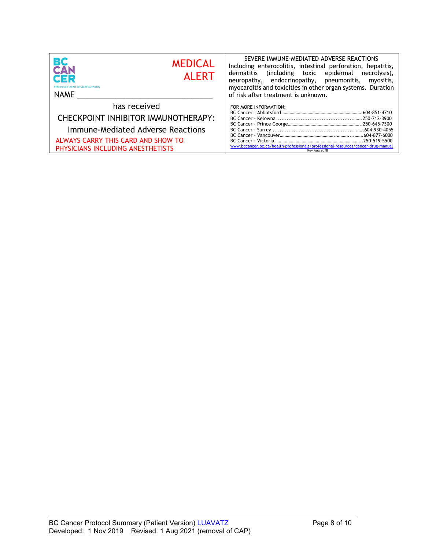| ВC<br><b>MEDICAL</b><br><b>CAN</b><br><b>ALERT</b><br>CER<br><b>Provincial Health Services Authority</b><br>NAME | SEVERE IMMUNE-MEDIATED ADVERSE REACTIONS<br>Including enterocolitis, intestinal perforation, hepatitis,<br>dermatitis (including toxic epidermal necrolysis),<br>neuropathy, endocrinopathy, pneumonitis,<br>myositis,<br>myocarditis and toxicities in other organ systems. Duration<br>of risk after treatment is unknown. |
|------------------------------------------------------------------------------------------------------------------|------------------------------------------------------------------------------------------------------------------------------------------------------------------------------------------------------------------------------------------------------------------------------------------------------------------------------|
| has received                                                                                                     | FOR MORE INFORMATION:                                                                                                                                                                                                                                                                                                        |
| CHECKPOINT INHIBITOR IMMUNOTHERAPY:                                                                              |                                                                                                                                                                                                                                                                                                                              |
| Immune-Mediated Adverse Reactions                                                                                |                                                                                                                                                                                                                                                                                                                              |
| ALWAYS CARRY THIS CARD AND SHOW TO<br>PHYSICIANS INCLUDING ANESTHETISTS                                          | www.bccancer.bc.ca/health-professionals/professional-resources/cancer-drug-manual<br>Rev Aug 2018                                                                                                                                                                                                                            |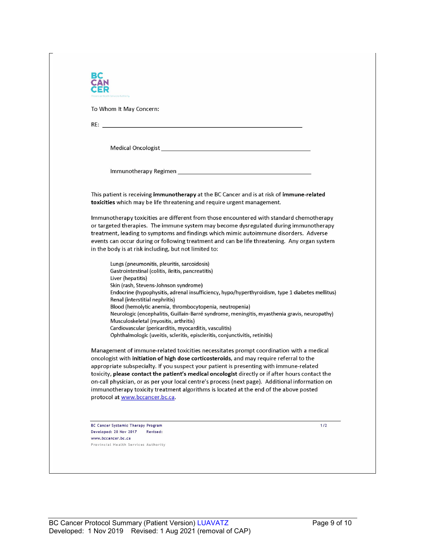| To Whom It May Concern:                                                                                                                                                                                                                                                                                                                                                                                                                                                                                                                                                        |
|--------------------------------------------------------------------------------------------------------------------------------------------------------------------------------------------------------------------------------------------------------------------------------------------------------------------------------------------------------------------------------------------------------------------------------------------------------------------------------------------------------------------------------------------------------------------------------|
|                                                                                                                                                                                                                                                                                                                                                                                                                                                                                                                                                                                |
|                                                                                                                                                                                                                                                                                                                                                                                                                                                                                                                                                                                |
| Medical Oncologist New York and Service Contract to the Contract of the Contract of the Contract of the Contract of the Contract of the Contract of the Contract of the Contract of the Contract of the Contract of the Contra                                                                                                                                                                                                                                                                                                                                                 |
|                                                                                                                                                                                                                                                                                                                                                                                                                                                                                                                                                                                |
| This patient is receiving immunotherapy at the BC Cancer and is at risk of immune-related<br>toxicities which may be life threatening and require urgent management.                                                                                                                                                                                                                                                                                                                                                                                                           |
| Immunotherapy toxicities are different from those encountered with standard chemotherapy<br>or targeted therapies. The immune system may become dysregulated during immunotherapy<br>treatment, leading to symptoms and findings which mimic autoimmune disorders. Adverse<br>events can occur during or following treatment and can be life threatening. Any organ system                                                                                                                                                                                                     |
| in the body is at risk including, but not limited to:                                                                                                                                                                                                                                                                                                                                                                                                                                                                                                                          |
| Lungs (pneumonitis, pleuritis, sarcoidosis)<br>Gastrointestinal (colitis, ileitis, pancreatitis)<br>Liver (hepatitis)                                                                                                                                                                                                                                                                                                                                                                                                                                                          |
| Skin (rash, Stevens-Johnson syndrome)<br>Endocrine (hypophysitis, adrenal insufficiency, hypo/hyperthyroidism, type 1 diabetes mellitus)<br>Renal (interstitial nephritis)                                                                                                                                                                                                                                                                                                                                                                                                     |
| Blood (hemolytic anemia, thrombocytopenia, neutropenia)<br>Neurologic (encephalitis, Guillain-Barré syndrome, meningitis, myasthenia gravis, neuropathy)<br>Musculoskeletal (myositis, arthritis)                                                                                                                                                                                                                                                                                                                                                                              |
| Cardiovascular (pericarditis, myocarditis, vasculitis)<br>Ophthalmologic (uveitis, scleritis, episcleritis, conjunctivitis, retinitis)                                                                                                                                                                                                                                                                                                                                                                                                                                         |
| Management of immune-related toxicities necessitates prompt coordination with a medical<br>oncologist with initiation of high dose corticosteroids, and may require referral to the<br>appropriate subspecialty. If you suspect your patient is presenting with immune-related<br>toxicity, please contact the patient's medical oncologist directly or if after hours contact the<br>on-call physician, or as per your local centre's process (next page). Additional information on<br>immunotherapy toxicity treatment algorithms is located at the end of the above posted |
| protocol at www.bccancer.bc.ca.                                                                                                                                                                                                                                                                                                                                                                                                                                                                                                                                                |